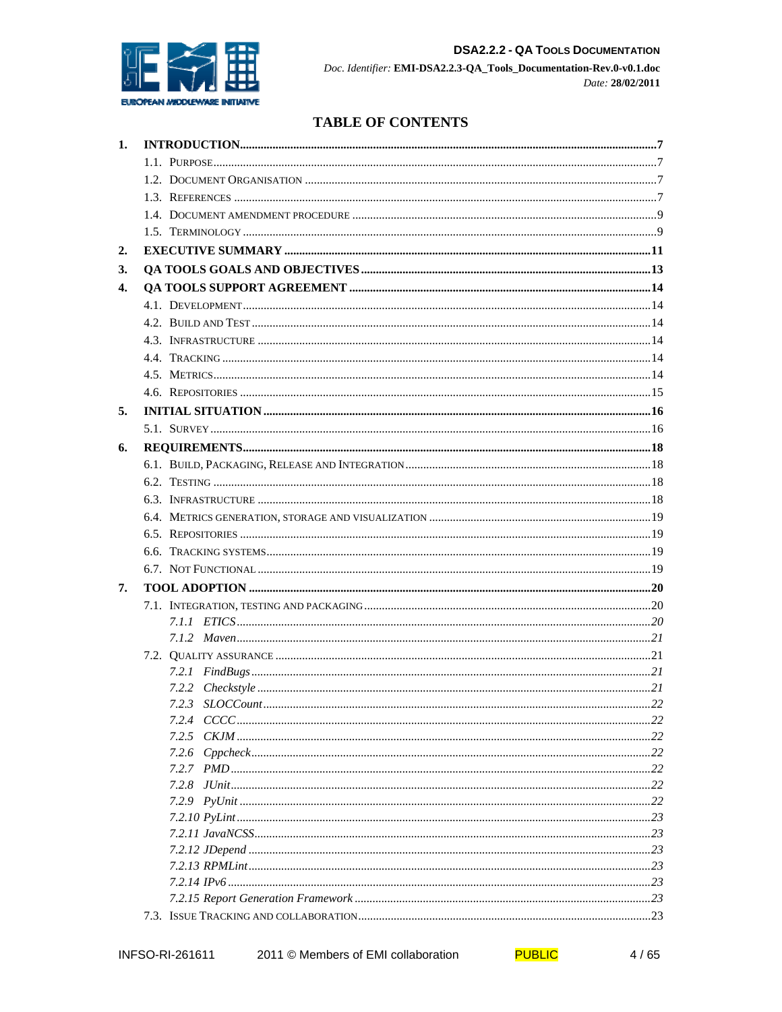

## **TABLE OF CONTENTS**

| 1. |       |  |  |  |  |  |
|----|-------|--|--|--|--|--|
|    |       |  |  |  |  |  |
|    |       |  |  |  |  |  |
|    |       |  |  |  |  |  |
|    |       |  |  |  |  |  |
|    |       |  |  |  |  |  |
| 2. |       |  |  |  |  |  |
| 3. |       |  |  |  |  |  |
| 4. |       |  |  |  |  |  |
|    |       |  |  |  |  |  |
|    |       |  |  |  |  |  |
|    |       |  |  |  |  |  |
|    |       |  |  |  |  |  |
|    |       |  |  |  |  |  |
|    |       |  |  |  |  |  |
| 5. |       |  |  |  |  |  |
|    |       |  |  |  |  |  |
| 6. |       |  |  |  |  |  |
|    |       |  |  |  |  |  |
|    |       |  |  |  |  |  |
|    |       |  |  |  |  |  |
|    |       |  |  |  |  |  |
|    |       |  |  |  |  |  |
|    |       |  |  |  |  |  |
|    |       |  |  |  |  |  |
| 7. |       |  |  |  |  |  |
|    |       |  |  |  |  |  |
|    |       |  |  |  |  |  |
|    |       |  |  |  |  |  |
|    |       |  |  |  |  |  |
|    |       |  |  |  |  |  |
|    |       |  |  |  |  |  |
|    |       |  |  |  |  |  |
|    |       |  |  |  |  |  |
|    | 7.2.6 |  |  |  |  |  |
|    |       |  |  |  |  |  |
|    |       |  |  |  |  |  |
|    |       |  |  |  |  |  |
|    |       |  |  |  |  |  |
|    |       |  |  |  |  |  |
|    |       |  |  |  |  |  |
|    |       |  |  |  |  |  |
|    |       |  |  |  |  |  |
|    |       |  |  |  |  |  |
|    |       |  |  |  |  |  |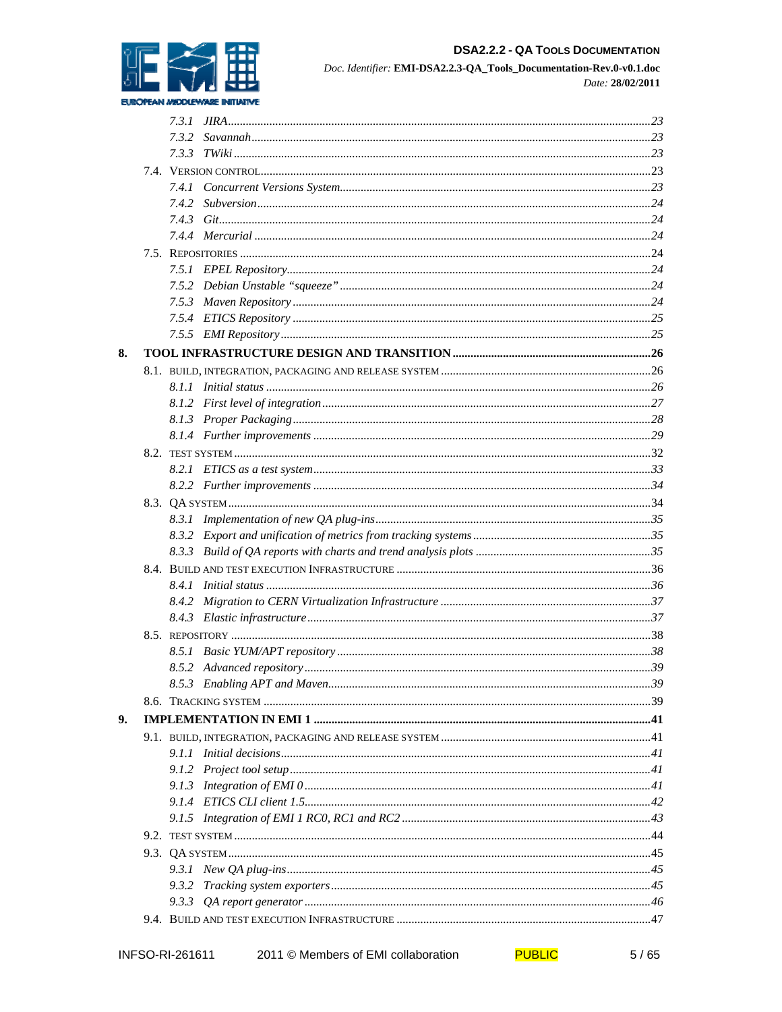

## **DSA2.2.2 - QA TOOLS DOCUMENTATION**

Doc. Identifier: EMI-DSA2.2.3-QA\_Tools\_Documentation-Rev.0-v0.1.doc Date: 28/02/2011

|    | 7.4.2 |  |  |  |  |
|----|-------|--|--|--|--|
|    |       |  |  |  |  |
|    |       |  |  |  |  |
|    |       |  |  |  |  |
|    |       |  |  |  |  |
|    |       |  |  |  |  |
|    |       |  |  |  |  |
|    |       |  |  |  |  |
|    |       |  |  |  |  |
| 8. |       |  |  |  |  |
|    |       |  |  |  |  |
|    |       |  |  |  |  |
|    |       |  |  |  |  |
|    |       |  |  |  |  |
|    |       |  |  |  |  |
|    |       |  |  |  |  |
|    |       |  |  |  |  |
|    |       |  |  |  |  |
|    |       |  |  |  |  |
|    |       |  |  |  |  |
|    |       |  |  |  |  |
|    |       |  |  |  |  |
|    |       |  |  |  |  |
|    |       |  |  |  |  |
|    |       |  |  |  |  |
|    |       |  |  |  |  |
|    |       |  |  |  |  |
|    |       |  |  |  |  |
|    |       |  |  |  |  |
|    |       |  |  |  |  |
|    |       |  |  |  |  |
| 9. |       |  |  |  |  |
|    |       |  |  |  |  |
|    |       |  |  |  |  |
|    |       |  |  |  |  |
|    |       |  |  |  |  |
|    |       |  |  |  |  |
|    |       |  |  |  |  |
|    |       |  |  |  |  |
|    |       |  |  |  |  |
|    |       |  |  |  |  |
|    |       |  |  |  |  |
|    |       |  |  |  |  |
|    |       |  |  |  |  |
|    |       |  |  |  |  |